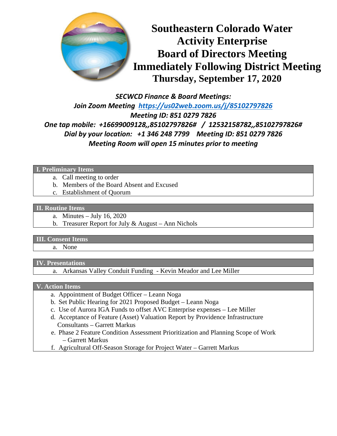

*SECWCD Finance & Board Meetings: Join Zoom Meeting <https://us02web.zoom.us/j/85102797826> Meeting ID: 851 0279 7826 One tap mobile: +16699009128,,85102797826# / 12532158782,,85102797826# Dial by your location: +1 346 248 7799 Meeting ID: 851 0279 7826 Meeting Room will open 15 minutes prior to meeting*

**I. Preliminary Items** 

- a. Call meeting to order
- b. Members of the Board Absent and Excused
- c. Establishment of Quorum

#### **II. Routine Items**

- a. Minutes July 16, 2020
- b. Treasurer Report for July & August Ann Nichols

#### **III. Consent Items**

a. None

### **IV. Presentations**

a. Arkansas Valley Conduit Funding - Kevin Meador and Lee Miller

## **V. Action Items**

- a. Appointment of Budget Officer Leann Noga
- b. Set Public Hearing for 2021 Proposed Budget Leann Noga
- c. Use of Aurora IGA Funds to offset AVC Enterprise expenses Lee Miller
- d. Acceptance of Feature (Asset) Valuation Report by Providence Infrastructure Consultants – Garrett Markus
- e. Phase 2 Feature Condition Assessment Prioritization and Planning Scope of Work – Garrett Markus
- f. Agricultural Off-Season Storage for Project Water Garrett Markus